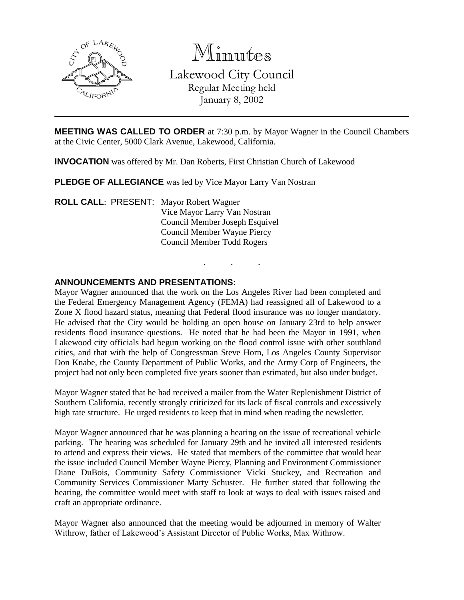

Minutes

Lakewood City Council Regular Meeting held

January 8, 2002

**MEETING WAS CALLED TO ORDER** at 7:30 p.m. by Mayor Wagner in the Council Chambers at the Civic Center, 5000 Clark Avenue, Lakewood, California.

. . .

**INVOCATION** was offered by Mr. Dan Roberts, First Christian Church of Lakewood

**PLEDGE OF ALLEGIANCE** was led by Vice Mayor Larry Van Nostran

**ROLL CALL**: PRESENT: Mayor Robert Wagner Vice Mayor Larry Van Nostran Council Member Joseph Esquivel Council Member Wayne Piercy Council Member Todd Rogers

### **ANNOUNCEMENTS AND PRESENTATIONS:**

Mayor Wagner announced that the work on the Los Angeles River had been completed and the Federal Emergency Management Agency (FEMA) had reassigned all of Lakewood to a Zone X flood hazard status, meaning that Federal flood insurance was no longer mandatory. He advised that the City would be holding an open house on January 23rd to help answer residents flood insurance questions. He noted that he had been the Mayor in 1991, when Lakewood city officials had begun working on the flood control issue with other southland cities, and that with the help of Congressman Steve Horn, Los Angeles County Supervisor Don Knabe, the County Department of Public Works, and the Army Corp of Engineers, the project had not only been completed five years sooner than estimated, but also under budget.

Mayor Wagner stated that he had received a mailer from the Water Replenishment District of Southern California, recently strongly criticized for its lack of fiscal controls and excessively high rate structure. He urged residents to keep that in mind when reading the newsletter.

Mayor Wagner announced that he was planning a hearing on the issue of recreational vehicle parking. The hearing was scheduled for January 29th and he invited all interested residents to attend and express their views. He stated that members of the committee that would hear the issue included Council Member Wayne Piercy, Planning and Environment Commissioner Diane DuBois, Community Safety Commissioner Vicki Stuckey, and Recreation and Community Services Commissioner Marty Schuster. He further stated that following the hearing, the committee would meet with staff to look at ways to deal with issues raised and craft an appropriate ordinance.

Mayor Wagner also announced that the meeting would be adjourned in memory of Walter Withrow, father of Lakewood's Assistant Director of Public Works, Max Withrow.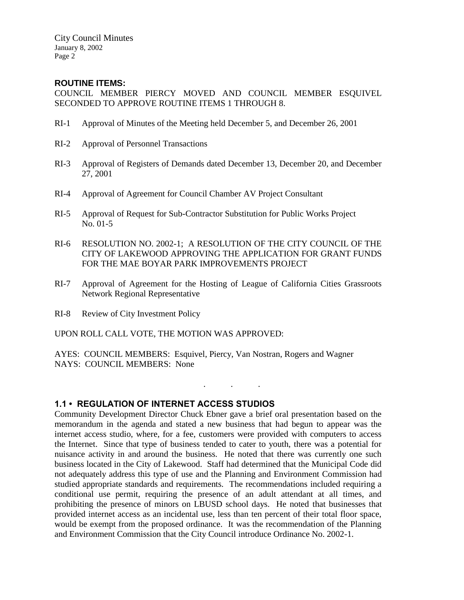#### **ROUTINE ITEMS:**

COUNCIL MEMBER PIERCY MOVED AND COUNCIL MEMBER ESQUIVEL SECONDED TO APPROVE ROUTINE ITEMS 1 THROUGH 8.

- RI-1 Approval of Minutes of the Meeting held December 5, and December 26, 2001
- RI-2 Approval of Personnel Transactions
- RI-3 Approval of Registers of Demands dated December 13, December 20, and December 27, 2001
- RI-4 Approval of Agreement for Council Chamber AV Project Consultant
- RI-5 Approval of Request for Sub-Contractor Substitution for Public Works Project No. 01-5
- RI-6 RESOLUTION NO. 2002-1; A RESOLUTION OF THE CITY COUNCIL OF THE CITY OF LAKEWOOD APPROVING THE APPLICATION FOR GRANT FUNDS FOR THE MAE BOYAR PARK IMPROVEMENTS PROJECT
- RI-7 Approval of Agreement for the Hosting of League of California Cities Grassroots Network Regional Representative
- RI-8 Review of City Investment Policy

UPON ROLL CALL VOTE, THE MOTION WAS APPROVED:

AYES: COUNCIL MEMBERS: Esquivel, Piercy, Van Nostran, Rogers and Wagner NAYS: COUNCIL MEMBERS: None

#### **1.1 • REGULATION OF INTERNET ACCESS STUDIOS**

Community Development Director Chuck Ebner gave a brief oral presentation based on the memorandum in the agenda and stated a new business that had begun to appear was the internet access studio, where, for a fee, customers were provided with computers to access the Internet. Since that type of business tended to cater to youth, there was a potential for nuisance activity in and around the business. He noted that there was currently one such business located in the City of Lakewood. Staff had determined that the Municipal Code did not adequately address this type of use and the Planning and Environment Commission had studied appropriate standards and requirements. The recommendations included requiring a conditional use permit, requiring the presence of an adult attendant at all times, and prohibiting the presence of minors on LBUSD school days. He noted that businesses that provided internet access as an incidental use, less than ten percent of their total floor space, would be exempt from the proposed ordinance. It was the recommendation of the Planning and Environment Commission that the City Council introduce Ordinance No. 2002-1.

. . .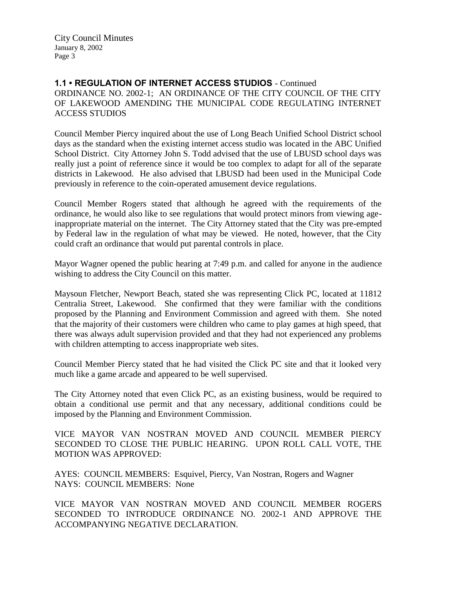### **1.1 • REGULATION OF INTERNET ACCESS STUDIOS** - Continued ORDINANCE NO. 2002-1; AN ORDINANCE OF THE CITY COUNCIL OF THE CITY OF LAKEWOOD AMENDING THE MUNICIPAL CODE REGULATING INTERNET ACCESS STUDIOS

Council Member Piercy inquired about the use of Long Beach Unified School District school days as the standard when the existing internet access studio was located in the ABC Unified School District. City Attorney John S. Todd advised that the use of LBUSD school days was really just a point of reference since it would be too complex to adapt for all of the separate districts in Lakewood. He also advised that LBUSD had been used in the Municipal Code previously in reference to the coin-operated amusement device regulations.

Council Member Rogers stated that although he agreed with the requirements of the ordinance, he would also like to see regulations that would protect minors from viewing ageinappropriate material on the internet. The City Attorney stated that the City was pre-empted by Federal law in the regulation of what may be viewed. He noted, however, that the City could craft an ordinance that would put parental controls in place.

Mayor Wagner opened the public hearing at 7:49 p.m. and called for anyone in the audience wishing to address the City Council on this matter.

Maysoun Fletcher, Newport Beach, stated she was representing Click PC, located at 11812 Centralia Street, Lakewood. She confirmed that they were familiar with the conditions proposed by the Planning and Environment Commission and agreed with them. She noted that the majority of their customers were children who came to play games at high speed, that there was always adult supervision provided and that they had not experienced any problems with children attempting to access inappropriate web sites.

Council Member Piercy stated that he had visited the Click PC site and that it looked very much like a game arcade and appeared to be well supervised.

The City Attorney noted that even Click PC, as an existing business, would be required to obtain a conditional use permit and that any necessary, additional conditions could be imposed by the Planning and Environment Commission.

VICE MAYOR VAN NOSTRAN MOVED AND COUNCIL MEMBER PIERCY SECONDED TO CLOSE THE PUBLIC HEARING. UPON ROLL CALL VOTE, THE MOTION WAS APPROVED:

AYES: COUNCIL MEMBERS: Esquivel, Piercy, Van Nostran, Rogers and Wagner NAYS: COUNCIL MEMBERS: None

VICE MAYOR VAN NOSTRAN MOVED AND COUNCIL MEMBER ROGERS SECONDED TO INTRODUCE ORDINANCE NO. 2002-1 AND APPROVE THE ACCOMPANYING NEGATIVE DECLARATION.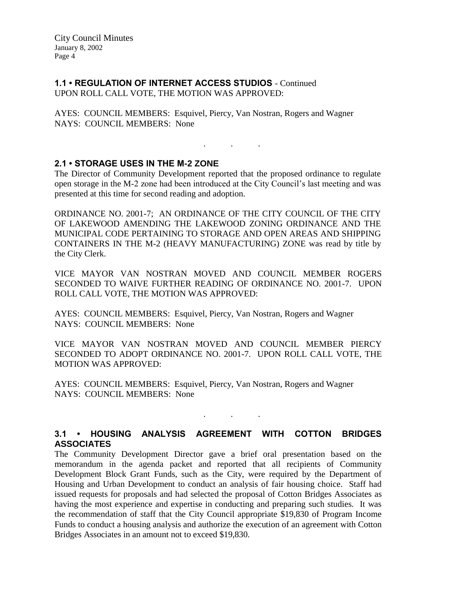**1.1 • REGULATION OF INTERNET ACCESS STUDIOS** - Continued UPON ROLL CALL VOTE, THE MOTION WAS APPROVED:

AYES: COUNCIL MEMBERS: Esquivel, Piercy, Van Nostran, Rogers and Wagner NAYS: COUNCIL MEMBERS: None

# **2.1 • STORAGE USES IN THE M-2 ZONE**

The Director of Community Development reported that the proposed ordinance to regulate open storage in the M-2 zone had been introduced at the City Council's last meeting and was presented at this time for second reading and adoption.

. . .

ORDINANCE NO. 2001-7; AN ORDINANCE OF THE CITY COUNCIL OF THE CITY OF LAKEWOOD AMENDING THE LAKEWOOD ZONING ORDINANCE AND THE MUNICIPAL CODE PERTAINING TO STORAGE AND OPEN AREAS AND SHIPPING CONTAINERS IN THE M-2 (HEAVY MANUFACTURING) ZONE was read by title by the City Clerk.

VICE MAYOR VAN NOSTRAN MOVED AND COUNCIL MEMBER ROGERS SECONDED TO WAIVE FURTHER READING OF ORDINANCE NO. 2001-7. UPON ROLL CALL VOTE, THE MOTION WAS APPROVED:

AYES: COUNCIL MEMBERS: Esquivel, Piercy, Van Nostran, Rogers and Wagner NAYS: COUNCIL MEMBERS: None

VICE MAYOR VAN NOSTRAN MOVED AND COUNCIL MEMBER PIERCY SECONDED TO ADOPT ORDINANCE NO. 2001-7. UPON ROLL CALL VOTE, THE MOTION WAS APPROVED:

AYES: COUNCIL MEMBERS: Esquivel, Piercy, Van Nostran, Rogers and Wagner NAYS: COUNCIL MEMBERS: None

## **3.1 • HOUSING ANALYSIS AGREEMENT WITH COTTON BRIDGES ASSOCIATES**

. . .

The Community Development Director gave a brief oral presentation based on the memorandum in the agenda packet and reported that all recipients of Community Development Block Grant Funds, such as the City, were required by the Department of Housing and Urban Development to conduct an analysis of fair housing choice. Staff had issued requests for proposals and had selected the proposal of Cotton Bridges Associates as having the most experience and expertise in conducting and preparing such studies. It was the recommendation of staff that the City Council appropriate \$19,830 of Program Income Funds to conduct a housing analysis and authorize the execution of an agreement with Cotton Bridges Associates in an amount not to exceed \$19,830.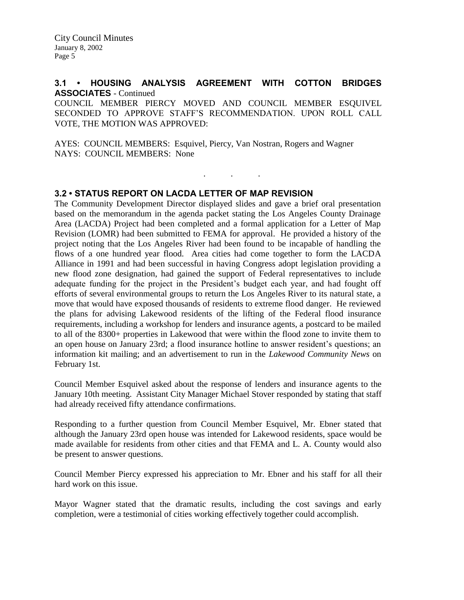### **3.1 • HOUSING ANALYSIS AGREEMENT WITH COTTON BRIDGES ASSOCIATES** - Continued

COUNCIL MEMBER PIERCY MOVED AND COUNCIL MEMBER ESQUIVEL SECONDED TO APPROVE STAFF'S RECOMMENDATION. UPON ROLL CALL VOTE, THE MOTION WAS APPROVED:

. . .

AYES: COUNCIL MEMBERS: Esquivel, Piercy, Van Nostran, Rogers and Wagner NAYS: COUNCIL MEMBERS: None

#### **3.2 • STATUS REPORT ON LACDA LETTER OF MAP REVISION**

The Community Development Director displayed slides and gave a brief oral presentation based on the memorandum in the agenda packet stating the Los Angeles County Drainage Area (LACDA) Project had been completed and a formal application for a Letter of Map Revision (LOMR) had been submitted to FEMA for approval. He provided a history of the project noting that the Los Angeles River had been found to be incapable of handling the flows of a one hundred year flood. Area cities had come together to form the LACDA Alliance in 1991 and had been successful in having Congress adopt legislation providing a new flood zone designation, had gained the support of Federal representatives to include adequate funding for the project in the President's budget each year, and had fought off efforts of several environmental groups to return the Los Angeles River to its natural state, a move that would have exposed thousands of residents to extreme flood danger. He reviewed the plans for advising Lakewood residents of the lifting of the Federal flood insurance requirements, including a workshop for lenders and insurance agents, a postcard to be mailed to all of the 8300+ properties in Lakewood that were within the flood zone to invite them to an open house on January 23rd; a flood insurance hotline to answer resident's questions; an information kit mailing; and an advertisement to run in the *Lakewood Community News* on February 1st.

Council Member Esquivel asked about the response of lenders and insurance agents to the January 10th meeting. Assistant City Manager Michael Stover responded by stating that staff had already received fifty attendance confirmations.

Responding to a further question from Council Member Esquivel, Mr. Ebner stated that although the January 23rd open house was intended for Lakewood residents, space would be made available for residents from other cities and that FEMA and L. A. County would also be present to answer questions.

Council Member Piercy expressed his appreciation to Mr. Ebner and his staff for all their hard work on this issue.

Mayor Wagner stated that the dramatic results, including the cost savings and early completion, were a testimonial of cities working effectively together could accomplish.